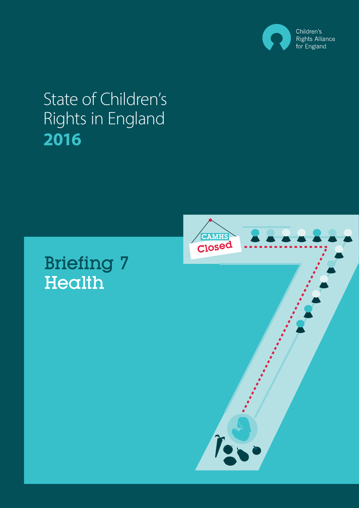

# State of Children's Rights in England **2016**

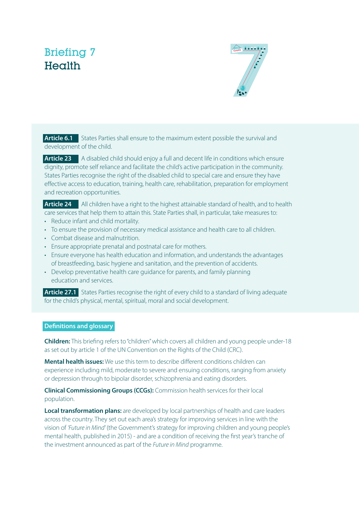# Briefing 7 **Health**



**Article 6.1** States Parties shall ensure to the maximum extent possible the survival and development of the child.

**Article 23** A disabled child should enjoy a full and decent life in conditions which ensure dignity, promote self reliance and facilitate the child's active participation in the community. States Parties recognise the right of the disabled child to special care and ensure they have effective access to education, training, health care, rehabilitation, preparation for employment and recreation opportunities.

**Article 24** All children have a right to the highest attainable standard of health, and to health care services that help them to attain this. State Parties shall, in particular, take measures to:

- Reduce infant and child mortality.
- To ensure the provision of necessary medical assistance and health care to all children.
- Combat disease and malnutrition.
- Ensure appropriate prenatal and postnatal care for mothers.
- Ensure everyone has health education and information, and understands the advantages of breastfeeding, basic hygiene and sanitation, and the prevention of accidents.
- Develop preventative health care guidance for parents, and family planning education and services.

**Article 27.1** States Parties recognise the right of every child to a standard of living adequate for the child's physical, mental, spiritual, moral and social development.

#### **Definitions and glossary**

**Children:** This briefing refers to "children" which covers all children and young people under-18 as set out by article 1 of the UN Convention on the Rights of the Child (CRC).

**Mental health issues:** We use this term to describe different conditions children can experience including mild, moderate to severe and ensuing conditions, ranging from anxiety or depression through to bipolar disorder, schizophrenia and eating disorders.

**Clinical Commissioning Groups (CCGs):** Commission health services for their local population.

**Local transformation plans:** are developed by local partnerships of health and care leaders across the country. They set out each area's strategy for improving services in line with the vision of *'Future in Mind'* (the Government's strategy for improving children and young people's mental health, published in 2015) - and are a condition of receiving the first year's tranche of the investment announced as part of the *Future in Mind* programme.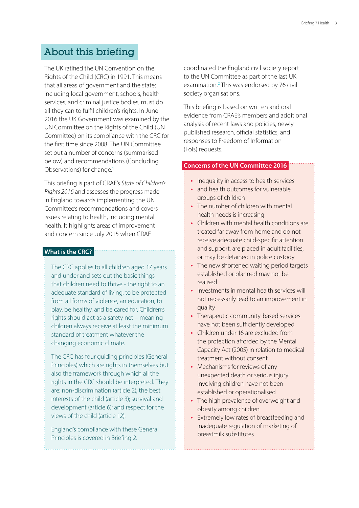## About this briefing

The UK ratified the UN Convention on the Rights of the Child (CRC) in 1991. This means that all areas of government and the state; including local government, schools, health services, and criminal justice bodies, must do all they can to fulfil children's rights. In June 2016 the UK Government was examined by the UN Committee on the Rights of the Child (UN Committee) on its compliance with the CRC for the first time since 2008. The UN Committee set out a number of concerns (summarised below) and recommendations (Concluding Observations) for change.<sup>1</sup>

This briefing is part of CRAE's *State of Children's Rights 2016* and assesses the progress made in England towards implementing the UN Committee's recommendations and covers issues relating to health, including mental health. It highlights areas of improvement and concern since July 2015 when CRAE

#### **What is the CRC?**

The CRC applies to all children aged 17 years and under and sets out the basic things that children need to thrive - the right to an adequate standard of living, to be protected from all forms of violence, an education, to play, be healthy, and be cared for. Children's rights should act as a safety net – meaning children always receive at least the minimum standard of treatment whatever the changing economic climate.

The CRC has four guiding principles (General Principles) which are rights in themselves but also the framework through which all the rights in the CRC should be interpreted. They are: non-discrimination (article 2); the best interests of the child (article 3); survival and development (article 6); and respect for the views of the child (article 12).

England's compliance with these General Principles is covered in Briefing 2.

coordinated the England civil society report to the UN Committee as part of the last UK examination.<sup>2</sup> This was endorsed by 76 civil society organisations.

This briefing is based on written and oral evidence from CRAE's members and additional analysis of recent laws and policies, newly published research, official statistics, and responses to Freedom of Information (FoIs) requests.

#### **Concerns of the UN Committee 2016**

- Inequality in access to health services
- and health outcomes for vulnerable groups of children
- The number of children with mental health needs is increasing
- Children with mental health conditions are treated far away from home and do not receive adequate child-specific attention and support, are placed in adult facilities, or may be detained in police custody
- The new shortened waiting period targets established or planned may not be realised
- Investments in mental health services will not necessarily lead to an improvement in quality
- Therapeutic community-based services have not been sufficiently developed
- Children under-16 are excluded from the protection afforded by the Mental Capacity Act (2005) in relation to medical treatment without consent
- Mechanisms for reviews of any unexpected death or serious injury involving children have not been established or operationalised
- The high prevalence of overweight and obesity among children
- Extremely low rates of breastfeeding and inadequate regulation of marketing of breastmilk substitutes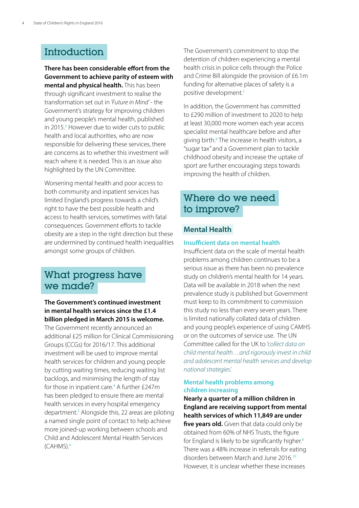# **Introduction**

**There has been considerable effort from the Government to achieve parity of esteem with mental and physical health.** This has been through significant investment to realise the transformation set out in *'Future in Mind'* - the Government's strategy for improving children and young people's mental health, published in 2015.<sup>3</sup> However due to wider cuts to public health and local authorities, who are now responsible for delivering these services, there are concerns as to whether this investment will reach where it is needed. This is an issue also highlighted by the UN Committee.

Worsening mental health and poor access to both community and inpatient services has limited England's progress towards a child's right to have the best possible health and access to health services, sometimes with fatal consequences. Government efforts to tackle obesity are a step in the right direction but these are undermined by continued health inequalities amongst some groups of children.

## What progress have we made?

#### **The Government's continued investment in mental health services since the £1.4 billion pledged in March 2015 is welcome.**

The Government recently announced an additional £25 million for Clinical Commissioning Groups (CCGs) for 2016/17. This additional investment will be used to improve mental health services for children and young people by cutting waiting times, reducing waiting list backlogs, and minimising the length of stay for those in inpatient care.<sup>4</sup> A further £247m has been pledged to ensure there are mental health services in every hospital emergency department.<sup>5</sup> Alongside this, 22 areas are piloting a named single point of contact to help achieve more joined-up working between schools and Child and Adolescent Mental Health Services (CAHMS).<sup>6</sup>

The Government's commitment to stop the detention of children experiencing a mental health crisis in police cells through the Police and Crime Bill alongside the provision of £6.1m funding for alternative places of safety is a positive development.<sup>7</sup>

In addition, the Government has committed to £290 million of investment to 2020 to help at least 30,000 more women each year access specialist mental healthcare before and after giving birth.<sup>8</sup> The increase in health visitors, a "sugar tax" and a Government plan to tackle childhood obesity and increase the uptake of sport are further encouraging steps towards improving the health of children.

# Where do we need to improve?

### **Mental Health**

#### **Insufficient data on mental health**

Insufficient data on the scale of mental health problems among children continues to be a serious issue as there has been no prevalence study on children's mental health for 14 years. Data will be available in 2018 when the next prevalence study is published but Government must keep to its commitment to commission this study no less than every seven years. There is limited nationally collated data of children and young people's experience of using CAMHS or on the outcomes of service use. The UN Committee called for the UK to *'collect data on child mental health…and rigorously invest in child and adolescent mental health services and develop national strategies'.*

#### **Mental health problems among children increasing**

**Nearly a quarter of a million children in England are receiving support from mental health services of which 11,849 are under**  five years old. Given that data could only be obtained from 60% of NHS Trusts, the figure for England is likely to be significantly higher.<sup>9</sup> There was a 48% increase in referrals for eating disorders between March and June 2016.<sup>10</sup> However, it is unclear whether these increases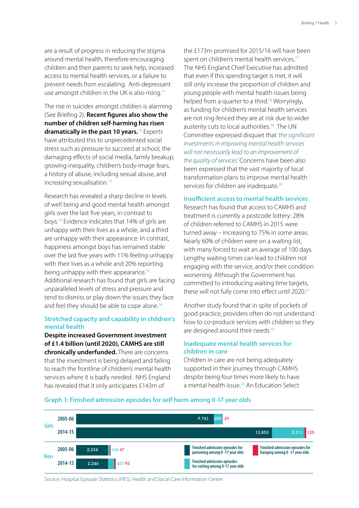are a result of progress in reducing the stigma around mental health, therefore encouraging children and their parents to seek help, increased access to mental health services, or a failure to prevent needs from escalating. Anti-depressant use amongst children in the UK is also rising.<sup>11</sup>

The rise in suicides amongst children is alarming (See Briefing 2). **Recent figures also show the number of children self-harming has risen dramatically in the past 10 years.**<sup>12</sup> Experts have attributed this to unprecedented social stress such as pressure to succeed at school, the damaging effects of social media, family breakup, growing inequality, children's body-image fears, a history of abuse, including sexual abuse, and increasing sexualisation.<sup>13</sup>

Research has revealed a sharp decline in levels of well being and good mental health amongst girls over the last five years, in contrast to boys.<sup>14</sup> Evidence indicates that 14% of girls are unhappy with their lives as a whole, and a third are unhappy with their appearance. In contrast, happiness amongst boys has remained stable over the last five years with 11% feeling unhappy with their lives as a whole and 20% reporting being unhappy with their appearance.<sup>15</sup> Additional research has found that girls are facing unparalleled levels of stress and pressure and tend to dismiss or play down the issues they face and feel they should be able to cope alone.<sup>16</sup>

#### **Stretched capacity and capability in children's mental health**

**Despite increased Government investment of £1.4 billion (until 2020), CAMHS are still chronically underfunded.** There are concerns that the investment is being delayed and failing to reach the frontline of children's mental health services where it is badly needed. NHS England has revealed that it only anticipates £143m of

the £173m promised for 2015/16 will have been spent on children's mental health services.<sup>17</sup> The NHS England Chief Executive has admitted that even if this spending target is met, it will still only increase the proportion of children and young people with mental health issues being helped from a quarter to a third.<sup>18</sup> Worryingly, as funding for children's mental health services are not ring-fenced they are at risk due to wider austerity cuts to local authorities.<sup>19</sup> The UN Committee expressed disquiet that *'the significant investments in improving mental health services will not necessarily lead to an improvement of the quality of services'.* Concerns have been also been expressed that the vast majority of local transformation plans to improve mental health services for children are inadequate.<sup>20</sup>

#### **Insufficient access to mental health services**

Research has found that access to CAMHS and treatment is currently a postcode lottery: 28% of children referred to CAMHS in 2015 were turned away – increasing to 75% in some areas. Nearly 60% of children were on a waiting list, with many forced to wait an average of 100 days. Lengthy waiting times can lead to children not engaging with the service, and/or their condition worsening. Although the Government has committed to introducing waiting time targets, these will not fully come into effect until 2020.<sup>21</sup>

Another study found that in spite of pockets of good practice, providers often do not understand how to co-produce services with children so they are designed around their needs.<sup>22</sup>

#### **Inadequate mental health services for children in care**

Children in care are not being adequately supported in their journey through CAMHS despite being four times more likely to have a mental health issue.<sup>23</sup> An Education Select



#### **Graph 1: Finished admission episodes for self harm among 0-17 year olds**

Source: Hospital Episode Statistics (HES), Health and Social Care Information Centre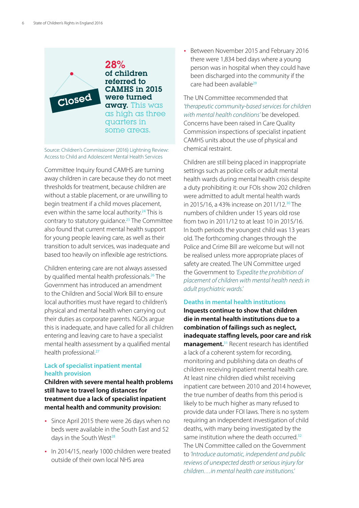Closed

28% of children referred to CAMHS in 2015 were turned away. This was as high as three quarters in some areas.

Source: Children's Commissioner (2016) Lightning Review: Access to Child and Adolescent Mental Health Services

Committee Inquiry found CAMHS are turning away children in care because they do not meet thresholds for treatment, because children are without a stable placement, or are unwilling to begin treatment if a child moves placement, even within the same local authority.<sup>24</sup> This is contrary to statutory quidance.<sup>25</sup> The Committee also found that current mental health support for young people leaving care, as well as their transition to adult services, was inadequate and based too heavily on inflexible age restrictions.

Children entering care are not always assessed by qualified mental health professionals.<sup>26</sup> The Government has introduced an amendment to the Children and Social Work Bill to ensure local authorities must have regard to children's physical and mental health when carrying out their duties as corporate parents. NGOs argue this is inadequate, and have called for all children entering and leaving care to have a specialist mental health assessment by a qualified mental health professional.<sup>27</sup>

#### **Lack of specialist inpatient mental health provision**

**Children with severe mental health problems still have to travel long distances for treatment due a lack of specialist inpatient mental health and community provision:** 

- Since April 2015 there were 26 days when no beds were available in the South East and 52 days in the South West<sup>28</sup>
- In 2014/15, nearly 1000 children were treated outside of their own local NHS area

• Between November 2015 and February 2016 there were 1,834 bed days where a young person was in hospital when they could have been discharged into the community if the care had been available<sup>29</sup>

The UN Committee recommended that *'therapeutic community-based services for children with mental health conditions'* be developed. Concerns have been raised in Care Quality Commission inspections of specialist inpatient CAMHS units about the use of physical and chemical restraint.

Children are still being placed in inappropriate settings such as police cells or adult mental health wards during mental health crisis despite a duty prohibiting it: our FOIs show 202 children were admitted to adult mental health wards in 2015/16, a 43% increase on 2011/12.<sup>30</sup> The numbers of children under 15 years old rose from two in 2011/12 to at least 10 in 2015/16. In both periods the youngest child was 13 years old. The forthcoming changes through the Police and Crime Bill are welcome but will not be realised unless more appropriate places of safety are created. The UN Committee urged the Government to *'Expedite the prohibition of placement of children with mental health needs in adult psychiatric wards.'*

#### **Deaths in mental health institutions**

**Inquests continue to show that children die in mental health institutions due to a combination of failings such as neglect, inadequate staffing levels, poor care and risk management.**<sup>31</sup> Recent research has identified a lack of a coherent system for recording, monitoring and publishing data on deaths of children receiving inpatient mental health care. At least nine children died whilst receiving inpatient care between 2010 and 2014 however, the true number of deaths from this period is likely to be much higher as many refused to provide data under FOI laws. There is no system requiring an independent investigation of child deaths, with many being investigated by the same institution where the death occurred.<sup>32</sup> The UN Committee called on the Government to *'Introduce automatic, independent and public reviews of unexpected death or serious injury for children…in mental health care institutions.'*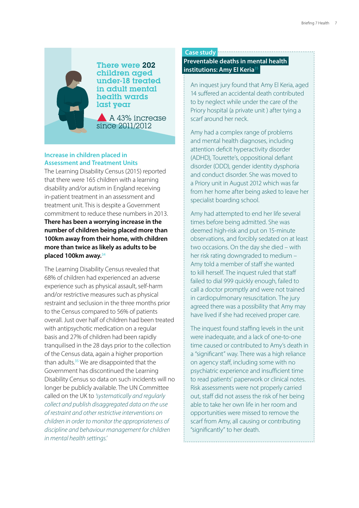last year There were 202 children aged under-18 treated in adult mental health wards

 A 43% increase since 2011/2012

#### **Increase in children placed in Assessment and Treatment Units**

The Learning Disability Census (2015) reported that there were 165 children with a learning disability and/or autism in England receiving in-patient treatment in an assessment and treatment unit. This is despite a Government commitment to reduce these numbers in 2013. **There has been a worrying increase in the number of children being placed more than 100km away from their home, with children more than twice as likely as adults to be placed 100km away.**<sup>34</sup>

The Learning Disability Census revealed that 68% of children had experienced an adverse experience such as physical assault, self-harm and/or restrictive measures such as physical restraint and seclusion in the three months prior to the Census compared to 56% of patients overall. Just over half of children had been treated with antipsychotic medication on a regular basis and 27% of children had been rapidly tranquilised in the 28 days prior to the collection of the Census data, again a higher proportion than adults.<sup>35</sup> We are disappointed that the Government has discontinued the Learning Disability Census so data on such incidents will no longer be publicly available. The UN Committee called on the UK to *'systematically and regularly collect and publish disaggregated data on the use of restraint and other restrictive interventions on children in order to monitor the appropriateness of discipline and behaviour management for children in mental health settings.'*

#### **Case study**

#### **Preventable deaths in mental health institutions: Amy El Keria**<sup>35</sup>

An inquest jury found that Amy El Keria, aged 14 suffered an accidental death contributed to by neglect while under the care of the Priory hospital (a private unit ) after tying a scarf around her neck.

Amy had a complex range of problems and mental health diagnoses, including attention deficit hyperactivity disorder (ADHD), Tourette's, oppositional defiant disorder (ODD), gender identity dysphoria and conduct disorder. She was moved to a Priory unit in August 2012 which was far from her home after being asked to leave her specialist boarding school.

Amy had attempted to end her life several times before being admitted. She was deemed high-risk and put on 15-minute observations, and forcibly sedated on at least two occasions. On the day she died – with her risk rating downgraded to medium – Amy told a member of staff she wanted to kill herself. The inquest ruled that staff failed to dial 999 quickly enough, failed to call a doctor promptly and were not trained in cardiopulmonary resuscitation. The jury agreed there was a possibility that Amy may have lived if she had received proper care.

The inquest found staffing levels in the unit were inadequate, and a lack of one-to-one time caused or contributed to Amy's death in a "significant" way. There was a high reliance on agency staff, including some with no psychiatric experience and insufficient time to read patients' paperwork or clinical notes. Risk assessments were not properly carried out, staff did not assess the risk of her being able to take her own life in her room and opportunities were missed to remove the scarf from Amy, all causing or contributing "significantly" to her death.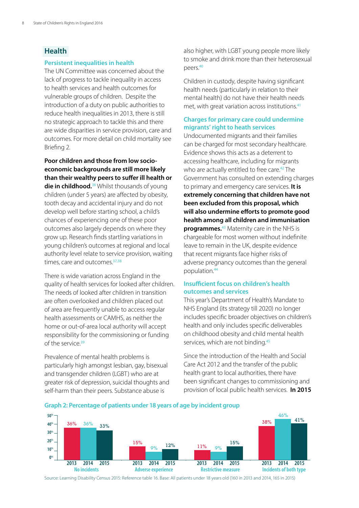### **Health**

#### **Persistent inequalities in health**

The UN Committee was concerned about the lack of progress to tackle inequality in access to health services and health outcomes for vulnerable groups of children. Despite the introduction of a duty on public authorities to reduce health inequalities in 2013, there is still no strategic approach to tackle this and there are wide disparities in service provision, care and outcomes. For more detail on child mortality see Briefing 2.

**Poor children and those from low socioeconomic backgrounds are still more likely than their wealthy peers to suffer ill health or die in childhood.**<sup>36</sup> Whilst thousands of young children (under 5 years) are affected by obesity, tooth decay and accidental injury and do not develop well before starting school, a child's chances of experiencing one of these poor outcomes also largely depends on where they grow up. Research finds startling variations in young children's outcomes at regional and local authority level relate to service provision, waiting times, care and outcomes.<sup>37,38</sup>

There is wide variation across England in the quality of health services for looked after children. The needs of looked after children in transition are often overlooked and children placed out of area are frequently unable to access regular health assessments or CAMHS, as neither the home or out-of-area local authority will accept responsibility for the commissioning or funding of the service.<sup>39</sup>

Prevalence of mental health problems is particularly high amongst lesbian, gay, bisexual and transgender children (LGBT) who are at greater risk of depression, suicidal thoughts and self-harm than their peers. Substance abuse is

also higher, with LGBT young people more likely to smoke and drink more than their heterosexual peers.<sup>40</sup>

Children in custody, despite having significant health needs (particularly in relation to their mental health) do not have their health needs met, with great variation across institutions.<sup>41</sup>

#### **Charges for primary care could undermine migrants' right to heath services**

Undocumented migrants and their families can be charged for most secondary healthcare. Evidence shows this acts as a deterrent to accessing healthcare, including for migrants who are actually entitled to free care.<sup>42</sup> The Government has consulted on extending charges to primary and emergency care services. **It is extremely concerning that children have not been excluded from this proposal, which will also undermine efforts to promote good health among all children and immunisation programmes.**<sup>43</sup> Maternity care in the NHS is chargeable for most women without indefinite leave to remain in the UK, despite evidence that recent migrants face higher risks of adverse pregnancy outcomes than the general population.<sup>44</sup>

#### **Insufficient focus on children's health outcomes and services**

This year's Department of Health's Mandate to NHS England (its strategy till 2020) no longer includes specific broader objectives on children's health and only includes specific deliverables on childhood obesity and child mental health services, which are not binding.<sup>45</sup>

Since the introduction of the Health and Social Care Act 2012 and the transfer of the public health grant to local authorities, there have been significant changes to commissioning and provision of local public health services. **In 2015** 



**Graph 2: Percentage of patients under 18 years of age by incident group**

Source: Learning Disability Census 2015: Reference table 16. Base: All patients under 18 years old (160 in 2013 and 2014, 165 in 2015)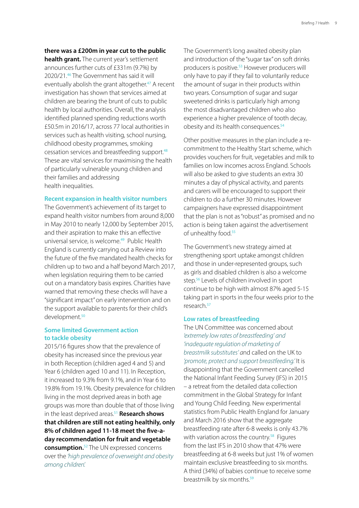#### **there was a £200m in year cut to the public**

**health grant.** The current year's settlement announces further cuts of £331m (9.7%) by 2020/21.<sup>46</sup> The Government has said it will eventually abolish the grant altogether.<sup>47</sup> A recent investigation has shown that services aimed at children are bearing the brunt of cuts to public health by local authorities. Overall, the analysis identified planned spending reductions worth £50.5m in 2016/17, across 77 local authorities in services such as health visiting, school nursing, childhood obesity programmes, smoking cessation services and breastfeeding support.<sup>48</sup> These are vital services for maximising the health of particularly vulnerable young children and their families and addressing health inequalities.

#### **Recent expansion in health visitor numbers**

The Government's achievement of its target to expand health visitor numbers from around 8,000 in May 2010 to nearly 12,000 by September 2015, and their aspiration to make this an effective universal service, is welcome.<sup>49</sup> Public Health England is currently carrying out a Review into the future of the five mandated health checks for children up to two and a half beyond March 2017, when legislation requiring them to be carried out on a mandatory basis expires. Charities have warned that removing these checks will have a "significant impact" on early intervention and on the support available to parents for their child's development.<sup>50</sup>

#### **Some limited Government action to tackle obesity**

2015/16 figures show that the prevalence of obesity has increased since the previous year in both Reception (children aged 4 and 5) and Year 6 (children aged 10 and 11). In Reception, it increased to 9.3% from 9.1%, and in Year 6 to 19.8% from 19.1%. Obesity prevalence for children living in the most deprived areas in both age groups was more than double that of those living in the least deprived areas.<sup>51</sup> Research shows **that children are still not eating healthily, only 8% of children aged 11-18 meet the five-aday recommendation for fruit and vegetable consumption.**<sup>52</sup> The UN expressed concerns over the *'high prevalence of overweight and obesity among children'.*

The Government's long awaited obesity plan and introduction of the "sugar tax" on soft drinks producers is positive.<sup>53</sup> However producers will only have to pay if they fail to voluntarily reduce the amount of sugar in their products within two years. Consumption of sugar and sugar sweetened drinks is particularly high among the most disadvantaged children who also experience a higher prevalence of tooth decay, obesity and its health consequences.<sup>54</sup>

Other positive measures in the plan include a recommitment to the Healthy Start scheme, which provides vouchers for fruit, vegetables and milk to families on low incomes across England. Schools will also be asked to give students an extra 30 minutes a day of physical activity, and parents and carers will be encouraged to support their children to do a further 30 minutes. However campaigners have expressed disappointment that the plan is not as "robust" as promised and no action is being taken against the advertisement of unhealthy food.<sup>55</sup>

The Government's new strategy aimed at strengthening sport uptake amongst children and those in under-represented groups, such as girls and disabled children is also a welcome step.<sup>56</sup> Levels of children involved in sport continue to be high with almost 87% aged 5-15 taking part in sports in the four weeks prior to the research.<sup>57</sup>

#### **Low rates of breastfeeding**

The UN Committee was concerned about *'extremely low rates of breastfeeding' and 'inadequate regulation of marketing of breastmilk substitutes' a*nd called on the UK to *'promote, protect and support breastfeeding.'* It is disappointing that the Government cancelled the National Infant Feeding Survey (IFS) in 2015 – a retreat from the detailed data collection commitment in the Global Strategy for Infant and Young Child Feeding. New experimental statistics from Public Health England for January and March 2016 show that the aggregate breastfeeding rate after 6-8 weeks is only 43.7% with variation across the country.<sup>58</sup> Figures from the last IFS in 2010 show that 47% were breastfeeding at 6-8 weeks but just 1% of women maintain exclusive breastfeeding to six months. A third (34%) of babies continue to receive some breastmilk by six months.<sup>59</sup>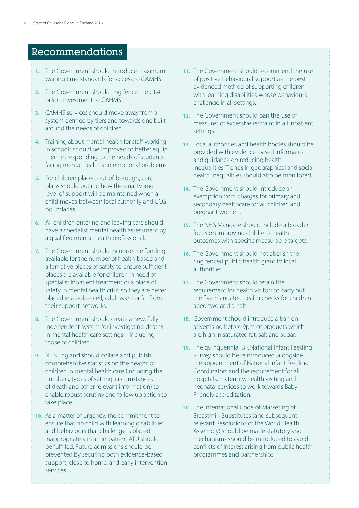# Recommendations

- **1.** The Government should introduce maximum waiting time standards for access to CAMHS.
- **2.** The Government should ring fence the £1.4 billion investment to CAHMS.
- **3.** CAMHS services should move away from a system defined by tiers and towards one built around the needs of children.
- **4.** Training about mental health for staff working in schools should be improved to better equip them in responding to the needs of students facing mental health and emotional problems.
- **5.** For children placed out-of-borough, care plans should outline how the quality and level of support will be maintained when a child moves between local authority and CCG boundaries.
- **6.** All children entering and leaving care should have a specialist mental health assessment by a qualified mental health professional.
- **7.** The Government should increase the funding available for the number of health-based and alternative places of safety to ensure sufficient places are available for children in need of specialist inpatient treatment or a place of safety in mental health crisis so they are never placed in a police cell, adult ward or far from their support networks.
- **8.** The Government should create a new, fully independent system for investigating deaths in mental health care settings – including those of children.
- **9.** NHS England should collate and publish comprehensive statistics on the deaths of children in mental health care (including the numbers, types of setting, circumstances of death and other relevant information) to enable robust scrutiny and follow up action to take place.
- **10.** As a matter of urgency, the commitment to ensure that no child with learning disabilities and behaviours that challenge is placed inappropriately in an in-patient ATU should be fulfilled. Future admissions should be prevented by securing both evidence-based support, close to home, and early intervention services.
- **11.** The Government should recommend the use of positive behavioural support as the best evidenced method of supporting children with learning disabilities whose behaviours challenge in all settings.
- **12.** The Government should ban the use of measures of excessive restraint in all inpatient settings.
- **13.** Local authorities and health bodies should be provided with evidence-based information and guidance on reducing health inequalities. Trends in geographical and social health inequalities should also be monitored.
- **14.** The Government should introduce an exemption from charges for primary and secondary healthcare for all children and pregnant women.
- **15.** The NHS Mandate should include a broader focus on improving children's health outcomes with specific measurable targets.
- **16.** The Government should not abolish the ring fenced public health grant to local authorities.
- **17.** The Government should retain the requirement for health visitors to carry out the five mandated health checks for children aged two and a half.
- **18.** Government should introduce a ban on advertising before 9pm of products which are high in saturated fat, salt and sugar.
- **19.** The quinquennial UK National Infant Feeding Survey should be reintroduced, alongside the appointment of National Infant Feeding Coordinators and the requirement for all hospitals, maternity, health visiting and neonatal services to work towards Baby-Friendly accreditation.
- **20.** The International Code of Marketing of Breastmilk Substitutes (and subsequent relevant Resolutions of the World Health Assembly) should be made statutory and mechanisms should be introduced to avoid conflicts of interest arising from public health programmes and partnerships.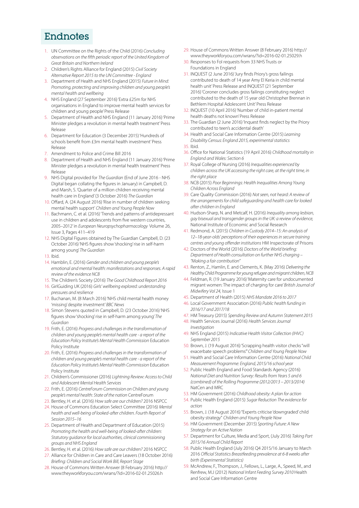# Endnotes

- 1. UN Committee on the Rights of the Child (2016) *Concluding observations on the fifth periodic report of the United Kingdom of Great Britain and Northern Ireland*
- 2. Children's Rights Alliance for England (2015) *Civil Society Alternative Report 2015 to the UN Committee - England*
- 3. Department of Health and NHS England (2015) *Future in Mind: Promoting, protecting and improving children and young people's mental health and wellbeing*
- 4. NHS England (27 September 2016) 'Extra £25m for NHS organisations in England to improve mental health services for children and young people' Press Release
- 5. Department of Health and NHS England (11 January 2016) 'Prime Minister pledges a revolution in mental health treatment' Press Release
- 6. Department for Education (3 December 2015) 'Hundreds of schools benefit from £3m mental health investment' Press Release
- 7. Amendment to Police and Crime Bill 2016
- 8. Department of Health and NHS England (11 January 2016) 'Prime Minister pledges a revolution in mental health treatment' Press Release
- 9. NHS Digital provided for *The Guardian* (End of June 2016 NHS Digital began collating the figures in January) in Campbell, D. and Marsh, S. 'Quarter of a million children receiving mental health care in England' (3 October 2016) *The Guardian*
- 10. Offard, A. (24 August 2016) 'Rise in number of children seeking mental health support' *Children and Young People Now*
- 11. Bachmann, C. et al. (2016) 'Trends and patterns of antidepressant use in children and adolescents from five western countries, 2005–2012' in *European Neuropsychopharmacology* Volume 26, Issue 3, Pages 411–419
- 12. NHS Digital Figures obtained by The Guardian Campbell, D. (23 October 2016) 'NHS figures show 'shocking' rise in self-harm among young' *The Guardian*
- 13. Ibid.
- 14. Hamblin, E. (2016) *Gender and children and young people's emotional and mental health: manifestations and responses. A rapid review of the evidence NCB*
- 15. The Children's Society (2016) *The Good Childhood Report 2016*
- 16. GirlGuiding UK (2016) *Girls' wellbeing explored: understanding pressures and resilience*
- 17. Buchanan, M. (8 March 2016) 'NHS child mental health money 'missing' despite investment' *BBC News*
- 18. Simon Stevens quoted in Campbell, D. (23 October 2016) 'NHS figures show 'shocking' rise in self-harm among young' *The Guardian*
- 19. Frith, E. (2016) *Progress and challenges in the transformation of children and young people's mental health care - a report of the Education Policy Institute's Mental Health Commission* Education Policy Institute
- 20. Frith, E. (2016) *Progress and challenges in the transformation of children and young people's mental health care - a report of the Education Policy Institute's Mental Health Commission* Education Policy Institute
- 21. Children's Commissioner (2016) *Lightning Review: Access to Child and Adolescent Mental Health Services*
- 22. Frith, E. (2016) *CentreForum Commission on Children and young people's mental health: State of the nation* CentreForum
- 23. Bentley, H. et al. (2016) *How safe are our children?* 2016 NSPCC
- 24. House of Commons Education Select Committee (2016) *Mental health and well-being of looked-after children. Fourth Report of Session 2015–16*
- 25. Department of Health and Department of Education (2015) *Promoting the health and well-being of looked-after children: Statutory guidance for local authorities, clinical commissioning groups and NHS England*
- 26. Bentley, H. et al. (2016) *How safe are our children?* 2016 NSPCC
- 27. Alliance for Children in Care and Care Leavers (18 October 2016) *Briefing: Children and Social Work Bill, Report Stage*
- 28. House of Commons Written Answer (8 February 2016) [http://](http://www.theyworkforyou.com/wrans/?id=2016-02-01.25026.h) [www.theyworkforyou.com/wrans/?id=2016-02-01.25026.h](http://www.theyworkforyou.com/wrans/?id=2016-02-01.25026.h)
- 29. House of Commons Written Answer (8 February 2016) [http://](http://www.theyworkforyou.com/wrans/?id=2016-02-01.25029.h) [www.theyworkforyou.com/wrans/?id=2016-02-01.25029.h](http://www.theyworkforyou.com/wrans/?id=2016-02-01.25029.h)
- 30. Responses to FoI requests from 33 NHS Trusts or Foundations in England
- 31. INQUEST (2 June 2016) 'Jury finds Priory's gross failings contributed to death of 14 year Amy El Keria in child mental health unit' Press Release and INQUEST (21 September 2016) 'Coroner concludes gross failings constituting neglect contributed to the death of 15 year old Christopher Brennan in Bethlem Hospital Adolescent Unit' Press Release
- 32. INQUEST (10 April 2016) 'Number of child in-patient mental health deaths not known' Press Release
- 33. The Guardian (2 June 2016) 'Inquest finds neglect by the Priory contributed to teen's accidental death'
- 34. Health and Social Care Information Centre (2015) *Learning Disability Census: England 2015, experimental statistics*
- 35. Ibid.
- 36. Office for National Statistics (19 April 2016) *Childhood mortality in England and Wales: Section 6*
- 37. Royal College of Nursing (2016) *Inequalities experienced by children across the UK accessing the right care, at the right time, in the right place*
- 38. NCB (2015) *Poor Beginnings: Health Inequalities Among Young Children Across England*
- 39. Care Quality Commission (2016) *Not seen, not heard: A review of the arrangements for child safeguarding and health care for looked after children in England*
- 40. Hudson-Sharp, N. and Metcalf, H. (2016) *Inequality among lesbian, gay bisexual and transgender groups in the UK: a review of evidence,*  National Institute of Economic and Social Research
- 41. Redmond, A. (2015) *Children in Custody 2014–15: An analysis of 12–18-year-olds' perceptions of their experiences in secure training centres and young offender institutions* HM Inspectorate of Prisons
- 42. Doctors of the World (2016) *Doctors of the World briefing: Department of Health consultation on further NHS charging – "Making a fair contribution"*
- 43. Renton, Z., Hamlin, E. and Clements, K. (May 2016) *Delivering the Healthy Child Programme for young refugee and migrant children, NCB*
- 44. Feldman, R. (19 January 2016) 'Maternity care for undocumented migrant women: The impact of charging for care' *British Journal of Midwifery Vol 24,* Issue 1
- 45. Department of Health (2015) *NHS Mandate 2016 to 2017*
- 46. Local Government Association (2016) *Public health funding in 2016/17 and 2017/18*
- 47. HM Treasury (2015) *Spending Review and Autumn Statement 2015*
- 48. Health Services Journal (2016) *Health Services Journal Investigation*
- 49. NHS England (2015) *Indicative Health Visitor Collection (IHVC) September 2015*
- 50. Brown, J. (19 August 2016) 'Scrapping health visitor checks "will exacerbate speech problems"' *Children and Young People Now*
- 51. Health and Social Care Information Centre (2016) *National Child Measurement Programme: England, 2015/16 school year*
- 52. Public Health England and Food Standards Agency (2016) *National Diet and Nutrition Survey: Results from Years 5 and 6 (combined) of the Rolling Programme (2012/2013 – 2013/2014)*  NatCen and MRC
- 53. HM Government (2016) *Childhood obesity: A plan for action*
- 54. Public Health England (2015) *Sugar Reduction The evidence for action*
- 55. Brown, J. (18 August 2016) "Experts criticise 'downgraded' child obesity strategy" *Children and Young People Now*
- 56. HM Government (December 2015) *Sporting Future: A New Strategy for an Active Nation*
- 57. Department for Culture, Media and Sport, (July 2016) *Taking Part 2015/16 Annual Child Report*
- 58. Public Health England (July 2016) Q4 2015/16 January to March 2016 *Official Statistics Breastfeeding prevalence at 6-8 weeks after birth (Experimental Statistics)*
- 59. McAndrew, F., Thompson, J., Fellows, L., Large, A., Speed, M., and Renfrew, M.J (2012) *National Infant Feeding Survey 2010* Health and Social Care Information Centre